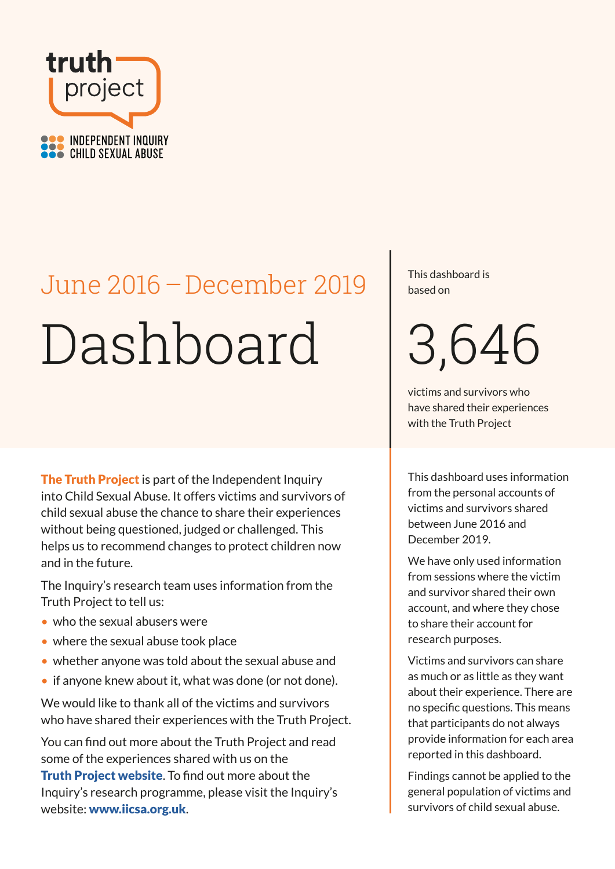

# Dashboard June 2016 – December 2019

The Truth Project is part of the Independent Inquiry into Child Sexual Abuse. It offers victims and survivors of child sexual abuse the chance to share their experiences without being questioned, judged or challenged. This helps us to recommend changes to protect children now and in the future.

The Inquiry's research team uses information from the Truth Project to tell us:

- who the sexual abusers were
- where the sexual abuse took place
- whether anyone was told about the sexual abuse and
- if anyone knew about it, what was done (or not done).

We would like to thank all of the victims and survivors who have shared their experiences with the Truth Project.

You can find out more about the Truth Project and read some of the experiences shared with us on the **[Truth Project website](https://www.truthproject.org.uk/experiences-shared).** To find out more about the Inquiry's research programme, please visit the Inquiry's website: [www.iicsa.org.uk](http://www.iicsa.org.uk).

This dashboard is based on

3,646

victims and survivors who have shared their experiences with the Truth Project

This dashboard uses information from the personal accounts of victims and survivors shared between June 2016 and December 2019.

We have only used information from sessions where the victim and survivor shared their own account, and where they chose to share their account for research purposes.

Victims and survivors can share as much or as little as they want about their experience. There are no specific questions. This means that participants do not always provide information for each area reported in this dashboard.

Findings cannot be applied to the general population of victims and survivors of child sexual abuse.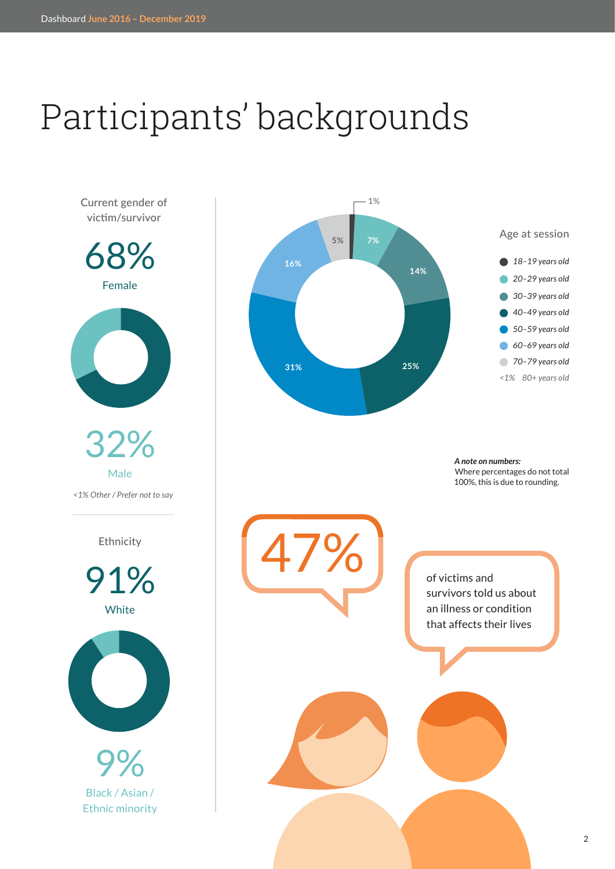# Participants' backgrounds

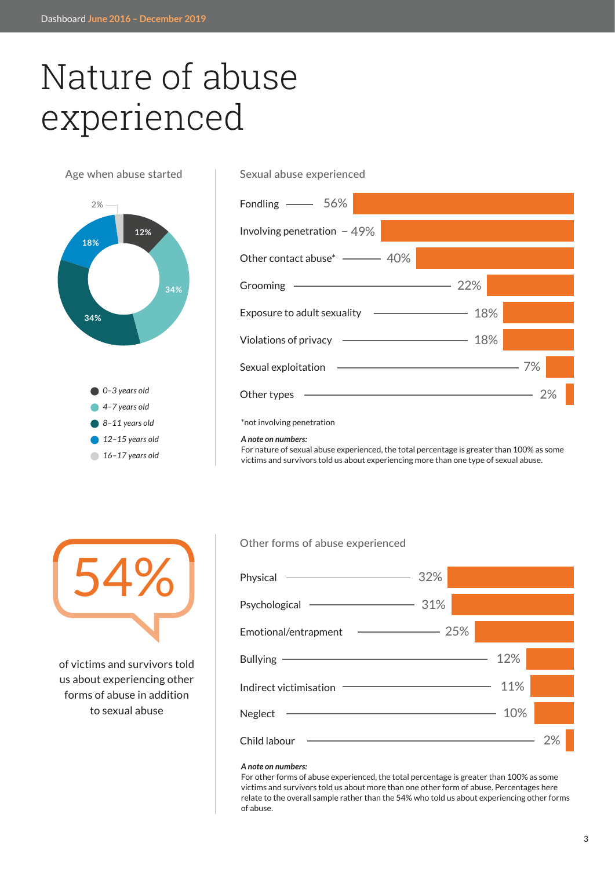### Nature of abuse experienced

Age when abuse started



### Fondling 56% Involving penetration  $-49%$ Other contact abuse\* ———— 40% Grooming Exposure to adult sexuality Violations of privacy -Sexual exploitation + Other types - $\sim$  22%  $-18%$  $-18%$ 7% 2%

### \*not involving penetration

Sexual abuse experienced

#### *A note on numbers:*

For nature of sexual abuse experienced, the total percentage is greater than 100% as some victims and survivors told us about experiencing more than one type of sexual abuse.



of victims and survivors told us about experiencing other forms of abuse in addition to sexual abuse

#### Other forms of abuse experienced

| Physical <u>- 32%</u>                                                                                                                                                                                                                           |     |  |
|-------------------------------------------------------------------------------------------------------------------------------------------------------------------------------------------------------------------------------------------------|-----|--|
| Psychological <u>- 31%</u>                                                                                                                                                                                                                      |     |  |
| Emotional/entrapment – 25%                                                                                                                                                                                                                      |     |  |
|                                                                                                                                                                                                                                                 | 12% |  |
| Indirect victimisation <b>Constanting Constanting Constanting Constanting Constanting Constanting Constanting Co</b>                                                                                                                            | 11% |  |
| <u>and the contract of the contract of the contract of the contract of the contract of the contract of the contract of the contract of the contract of the contract of the contract of the contract of the contract of the contr</u><br>Neglect | 10% |  |
| Child labour                                                                                                                                                                                                                                    |     |  |

#### *A note on numbers:*

For other forms of abuse experienced, the total percentage is greater than 100% as some victims and survivors told us about more than one other form of abuse. Percentages here relate to the overall sample rather than the 54% who told us about experiencing other forms of abuse.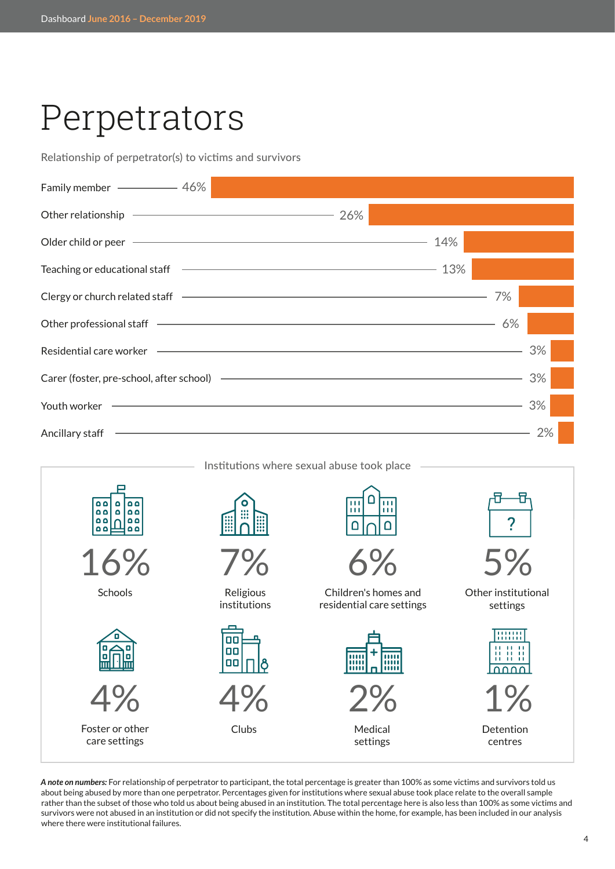### Perpetrators

Relationship of perpetrator(s) to victims and survivors





*A note on numbers:* For relationship of perpetrator to participant, the total percentage is greater than 100% as some victims and survivors told us about being abused by more than one perpetrator. Percentages given for institutions where sexual abuse took place relate to the overall sample rather than the subset of those who told us about being abused in an institution. The total percentage here is also less than 100% as some victims and survivors were not abused in an institution or did not specify the institution. Abuse within the home, for example, has been included in our analysis where there were institutional failures.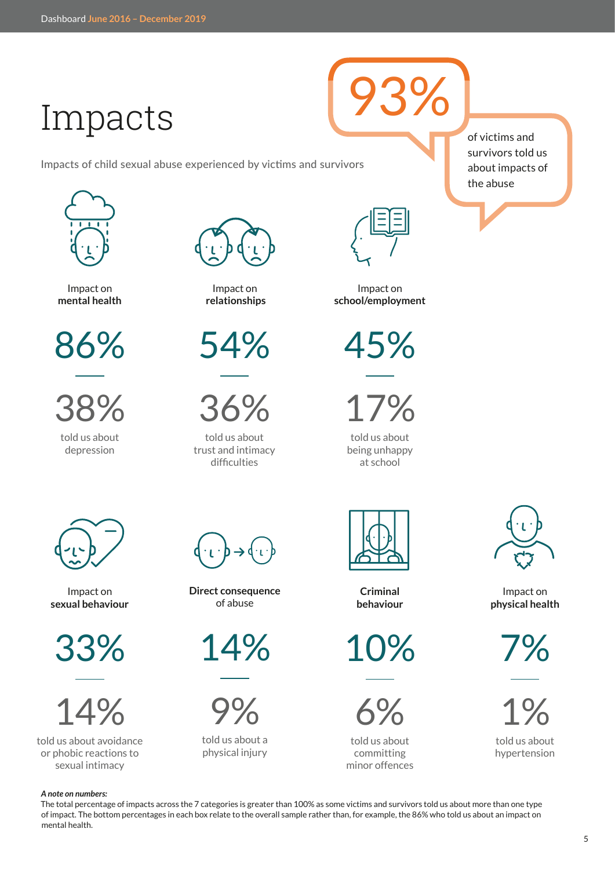### Impacts

Impacts of child sexual abuse experienced by victims and survivors



Impact on **mental health**

86%

told us about 38%

depression



Impact on **relationships**



36%

told us about trust and intimacy difficulties



93%

Impact on **school/employment**

45%

17%

told us about being unhappy at school



**Criminal behaviour**

10%



told us about committing minor offences of victims and survivors told us about impacts of the abuse



Impact on **physical health**

7%



told us about hypertension



Impact on **sexual behaviour**

33%



told us about avoidance or phobic reactions to sexual intimacy

**Direct consequence** of abuse

14%



told us about a physical injury

The total percentage of impacts across the 7 categories is greater than 100% as some victims and survivors told us about more than one type of impact. The bottom percentages in each box relate to the overall sample rather than, for example, the 86% who told us about an impact on mental health.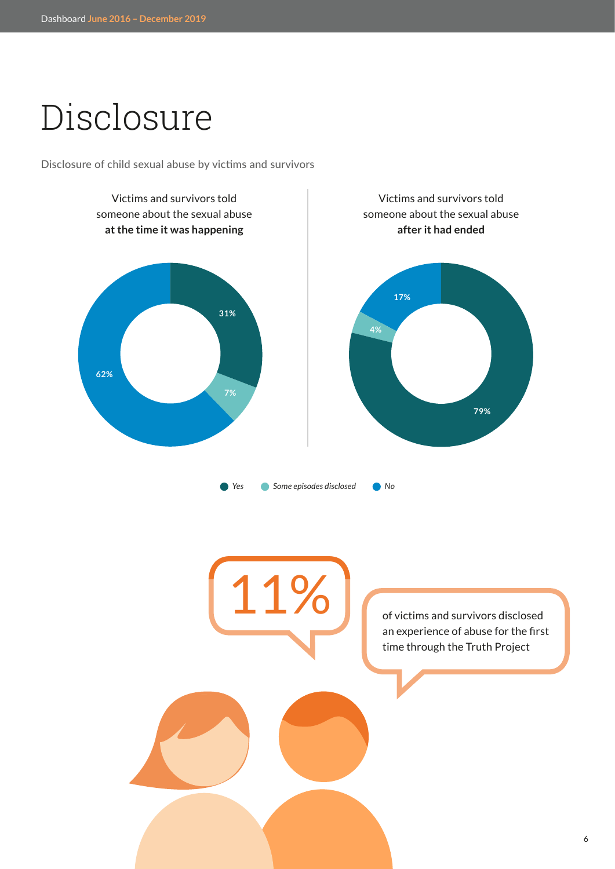## Disclosure

Disclosure of child sexual abuse by victims and survivors